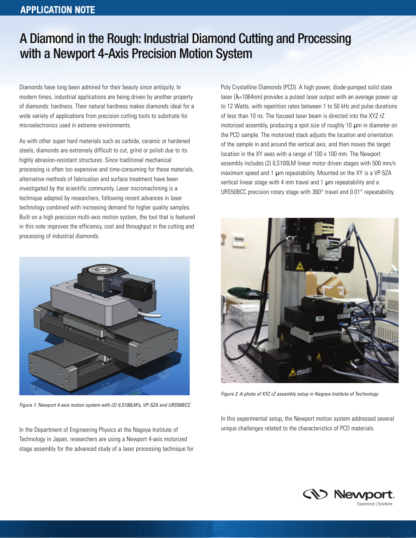### APPLICATION NOTE

# A Diamond in the Rough: Industrial Diamond Cutting and Processing with a Newport 4-Axis Precision Motion System

Diamonds have long been admired for their beauty since antiquity. In modern times, industrial applications are being driven by another property of diamonds: hardness. Their natural hardness makes diamonds ideal for a wide variety of applications from precision cutting tools to substrate for microelectronics used in extreme environments.

As with other super hard materials such as carbide, ceramic or hardened steels, diamonds are extremely difficult to cut, grind or polish due to its highly abrasion-resistant structures. Since traditional mechanical processing is often too expensive and time-consuming for these materials, alternative methods of fabrication and surface treatment have been investigated by the scientific community. Laser micromachining is a technique adapted by researchers, following recent advances in laser technology combined with increasing demand for higher quality samples. Built on a high precision multi-axis motion system, the tool that is featured in this note improves the efficiency, cost and throughput in the cutting and processing of industrial diamonds.



*Figure 1: Newport 4-axis motion system with (2) ILS100LM's, VP-5ZA and URS50BCC*

In the Department of Engineering Physics at the Nagoya Institute of Technology in Japan, researchers are using a Newport 4-axis motorized stage assembly for the advanced study of a laser processing technique for Poly Crystalline Diamonds (PCD). A high power, diode-pumped solid state laser ( $\lambda$ =1064nm) provides a pulsed laser output with an average power up to 12 Watts, with repetition rates between 1 to 50 kHz and pulse durations of less than 10 ns. The focused laser beam is directed into the XYZ rZ motorized assembly, producing a spot size of roughly 10  $\mu$ m in diameter on the PCD sample. The motorized stack adjusts the location and orientation of the sample in and around the vertical axis, and then moves the target location in the XY axes with a range of 100 x 100 mm. The Newport assembly includes (2) ILS100LM linear motor driven stages with 500 mm/s maximum speed and 1  $\mu$ m repeatability. Mounted on the XY is a VP-5ZA vertical linear stage with 4 mm travel and 1  $\mu$ m repeatability and a URS50BCC precision rotary stage with 360° travel and 0.01° repeatability.



*Figure 2: A photo of XYZ rZ assembly setup in Nagoya Institute of Technology*

In this experimental setup, the Newport motion system addressed several unique challenges related to the characteristics of PCD materials.